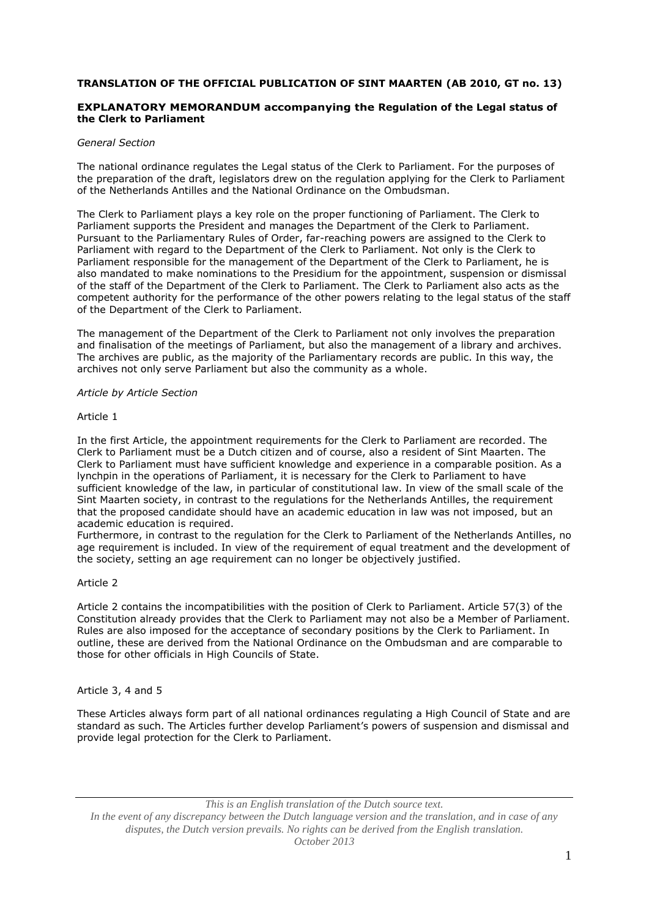# **TRANSLATION OF THE OFFICIAL PUBLICATION OF SINT MAARTEN (AB 2010, GT no. 13)**

# **EXPLANATORY MEMORANDUM accompanying the Regulation of the Legal status of the Clerk to Parliament**

# *General Section*

The national ordinance regulates the Legal status of the Clerk to Parliament. For the purposes of the preparation of the draft, legislators drew on the regulation applying for the Clerk to Parliament of the Netherlands Antilles and the National Ordinance on the Ombudsman.

The Clerk to Parliament plays a key role on the proper functioning of Parliament. The Clerk to Parliament supports the President and manages the Department of the Clerk to Parliament. Pursuant to the Parliamentary Rules of Order, far-reaching powers are assigned to the Clerk to Parliament with regard to the Department of the Clerk to Parliament. Not only is the Clerk to Parliament responsible for the management of the Department of the Clerk to Parliament, he is also mandated to make nominations to the Presidium for the appointment, suspension or dismissal of the staff of the Department of the Clerk to Parliament. The Clerk to Parliament also acts as the competent authority for the performance of the other powers relating to the legal status of the staff of the Department of the Clerk to Parliament.

The management of the Department of the Clerk to Parliament not only involves the preparation and finalisation of the meetings of Parliament, but also the management of a library and archives. The archives are public, as the majority of the Parliamentary records are public. In this way, the archives not only serve Parliament but also the community as a whole.

### *Article by Article Section*

#### Article 1

In the first Article, the appointment requirements for the Clerk to Parliament are recorded. The Clerk to Parliament must be a Dutch citizen and of course, also a resident of Sint Maarten. The Clerk to Parliament must have sufficient knowledge and experience in a comparable position. As a lynchpin in the operations of Parliament, it is necessary for the Clerk to Parliament to have sufficient knowledge of the law, in particular of constitutional law. In view of the small scale of the Sint Maarten society, in contrast to the regulations for the Netherlands Antilles, the requirement that the proposed candidate should have an academic education in law was not imposed, but an academic education is required.

Furthermore, in contrast to the regulation for the Clerk to Parliament of the Netherlands Antilles, no age requirement is included. In view of the requirement of equal treatment and the development of the society, setting an age requirement can no longer be objectively justified.

### Article 2

Article 2 contains the incompatibilities with the position of Clerk to Parliament. Article 57(3) of the Constitution already provides that the Clerk to Parliament may not also be a Member of Parliament. Rules are also imposed for the acceptance of secondary positions by the Clerk to Parliament. In outline, these are derived from the National Ordinance on the Ombudsman and are comparable to those for other officials in High Councils of State.

### Article 3, 4 and 5

These Articles always form part of all national ordinances regulating a High Council of State and are standard as such. The Articles further develop Parliament's powers of suspension and dismissal and provide legal protection for the Clerk to Parliament.

*This is an English translation of the Dutch source text. In the event of any discrepancy between the Dutch language version and the translation, and in case of any disputes, the Dutch version prevails. No rights can be derived from the English translation. October 2013*